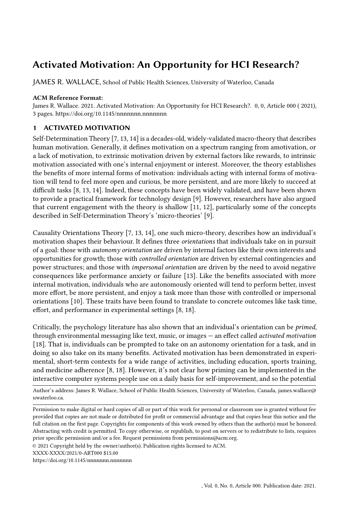# Activated Motivation: An Opportunity for HCI Research?

JAMES R. WALLACE, School of Public Health Sciences, University of Waterloo, Canada

### ACM Reference Format:

James R. Wallace. 2021. Activated Motivation: An Opportunity for HCI Research?. 0, 0, Article 000 ( 2021), [3](#page-2-0) pages.<https://doi.org/10.1145/nnnnnnn.nnnnnnn>

## 1 ACTIVATED MOTIVATION

Self-Determination Theory [\[7,](#page-1-0) [13,](#page-2-1) [14\]](#page-2-2) is a decades-old, widely-validated macro-theory that describes human motivation. Generally, it defines motivation on a spectrum ranging from amotivation, or a lack of motivation, to extrinsic motivation driven by external factors like rewards, to intrinsic motivation associated with one's internal enjoyment or interest. Moreover, the theory establishes the benefits of more internal forms of motivation: individuals acting with internal forms of motivation will tend to feel more open and curious, be more persistent, and are more likely to succeed at difficult tasks [\[8,](#page-1-1) [13,](#page-2-1) [14\]](#page-2-2). Indeed, these concepts have been widely validated, and have been shown to provide a practical framework for technology design [\[9\]](#page-1-2). However, researchers have also argued that current engagement with the theory is shallow [\[11,](#page-1-3) [12\]](#page-1-4), particularly some of the concepts described in Self-Determination Theory's 'micro-theories' [\[9\]](#page-1-2).

Causality Orientations Theory [\[7,](#page-1-0) [13,](#page-2-1) [14\]](#page-2-2), one such micro-theory, describes how an individual's motivation shapes their behaviour. It defines three orientations that individuals take on in pursuit of a goal: those with autonomy orientation are driven by internal factors like their own interests and opportunities for growth; those with controlled orientation are driven by external contingencies and power structures; and those with impersonal orientation are driven by the need to avoid negative consequences like performance anxiety or failure [\[13\]](#page-2-1). Like the benefits associated with more internal motivation, individuals who are autonomously oriented will tend to perform better, invest more effort, be more persistent, and enjoy a task more than those with controlled or impersonal orientations [\[10\]](#page-1-5). These traits have been found to translate to concrete outcomes like task time, effort, and performance in experimental settings [\[8,](#page-1-1) [18\]](#page-2-3).

Critically, the psychology literature has also shown that an individual's orientation can be primed, through environmental messaging like text, music, or images — an effect called activated motivation [\[18\]](#page-2-3). That is, individuals can be prompted to take on an autonomy orientation for a task, and in doing so also take on its many benefits. Activated motivation has been demonstrated in experimental, short-term contexts for a wide range of activities, including education, sports training, and medicine adherence [\[8,](#page-1-1) [18\]](#page-2-3). However, it's not clear how priming can be implemented in the interactive computer systems people use on a daily basis for self-improvement, and so the potential

Author's address: James R. Wallace, School of Public Health Sciences, University of Waterloo, Canada, james.wallace@ uwaterloo.ca.

XXXX-XXXX/2021/0-ART000 \$15.00

<https://doi.org/10.1145/nnnnnnn.nnnnnnn>

Permission to make digital or hard copies of all or part of this work for personal or classroom use is granted without fee provided that copies are not made or distributed for profit or commercial advantage and that copies bear this notice and the full citation on the first page. Copyrights for components of this work owned by others than the author(s) must be honored. Abstracting with credit is permitted. To copy otherwise, or republish, to post on servers or to redistribute to lists, requires prior specific permission and/or a fee. Request permissions from permissions@acm.org.

<sup>©</sup> 2021 Copyright held by the owner/author(s). Publication rights licensed to ACM.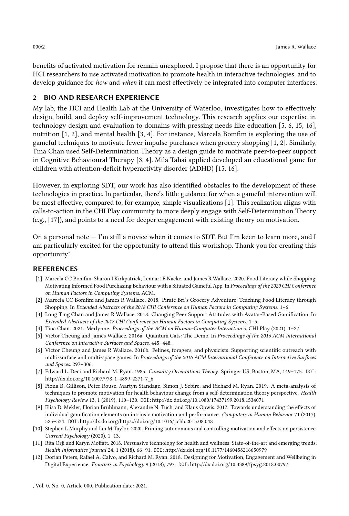benefits of activated motivation for remain unexplored. I propose that there is an opportunity for HCI researchers to use activated motivation to promote health in interactive technologies, and to develop guidance for how and when it can most effectively be integrated into computer interfaces.

## 2 BIO AND RESEARCH EXPERIENCE

My lab, the [HCI and Health Lab at the University of Waterloo,](https://uwaterloo.ca/human-computer-interaction-health-lab) investigates how to effectively design, build, and deploy self-improvement technology. This research applies our expertise in technology design and evaluation to domains with pressing needs like education [\[5,](#page-1-6) [6,](#page-1-7) [15,](#page-2-4) [16\]](#page-2-5), nutrition [\[1,](#page-1-8) [2\]](#page-1-9), and mental health [\[3,](#page-1-10) [4\]](#page-1-11). For instance, Marcela Bomfim is exploring the use of gameful techniques to motivate fewer impulse purchases when grocery shopping [\[1,](#page-1-8) [2\]](#page-1-9). Similarly, Tina Chan used Self-Determination Theory as a design guide to motivate peer-to-peer support in Cognitive Behavioural Therapy [\[3,](#page-1-10) [4\]](#page-1-11). Mila Tahai applied developed an educational game for children with attention-deficit hyperactivity disorder (ADHD) [\[15,](#page-2-4) [16\]](#page-2-5).

However, in exploring SDT, our work has also identified obstacles to the development of these technologies in practice. In particular, there's little guidance for when a gameful intervention will be most effective, compared to, for example, simple visualizations [\[1\]](#page-1-8). This realization aligns with calls-to-action in the CHI Play community to more deeply engage with Self-Determination Theory (e.g., [\[17\]](#page-2-6)), and points to a need for deeper engagement with existing theory on motivation.

On a personal note  $-$  I'm still a novice when it comes to SDT. But I'm keen to learn more, and I am particularly excited for the opportunity to attend this workshop. Thank you for creating this opportunity!

#### REFERENCES

- <span id="page-1-8"></span>[1] Marcela CC Bomfim, Sharon I Kirkpatrick, Lennart E Nacke, and James R Wallace. 2020. Food Literacy while Shopping: Motivating Informed Food Purchasing Behaviour with a Situated Gameful App. In Proceedings of the 2020 CHI Conference on Human Factors in Computing Systems. ACM.
- <span id="page-1-9"></span>[2] Marcela CC Bomfim and James R Wallace. 2018. Pirate Bri's Grocery Adventure: Teaching Food Literacy through Shopping. In Extended Abstracts of the 2018 CHI Conference on Human Factors in Computing Systems. 1–6.
- <span id="page-1-10"></span>[3] Long Ting Chan and James R Wallace. 2018. Changing Peer Support Attitudes with Avatar-Based Gamification. In Extended Abstracts of the 2018 CHI Conference on Human Factors in Computing Systems. 1–5.
- <span id="page-1-11"></span>[4] Tina Chan. 2021. Merlynne. Proceedings of the ACM on Human-Computer Interaction 5, CHI Play (2021), 1–27.
- <span id="page-1-6"></span>[5] Victor Cheung and James Wallace. 2016a. Quantum Cats: The Demo. In Proceedings of the 2016 ACM International Conference on Interactive Surfaces and Spaces. 445–448.
- <span id="page-1-7"></span>[6] Victor Cheung and James R Wallace. 2016b. Felines, foragers, and physicists: Supporting scientific outreach with multi-surface and multi-space games. In Proceedings of the 2016 ACM International Conference on Interactive Surfaces and Spaces. 297–306.
- <span id="page-1-0"></span>[7] Edward L. Deci and Richard M. Ryan. 1985. Causality Orientations Theory. Springer US, Boston, MA, 149–175. DOI: [http://dx.doi.org/10.1007/978-1-4899-2271-7\\_6](http://dx.doi.org/10.1007/978-1-4899-2271-7_6)
- <span id="page-1-1"></span>[8] Fiona B. Gillison, Peter Rouse, Martyn Standage, Simon J. Sebire, and Richard M. Ryan. 2019. A meta-analysis of techniques to promote motivation for health behaviour change from a self-determination theory perspective. Health Psychology Review 13, 1 (2019), 110–130. DOI:<http://dx.doi.org/10.1080/17437199.2018.1534071>
- <span id="page-1-2"></span>[9] Elisa D. Mekler, Florian Brühlmann, Alexandre N. Tuch, and Klaus Opwis. 2017. Towards understanding the effects of individual gamification elements on intrinsic motivation and performance. Computers in Human Behavior 71 (2017), 525–534. DOI:<http://dx.doi.org/https://doi.org/10.1016/j.chb.2015.08.048>
- <span id="page-1-5"></span>[10] Stephen L Murphy and Ian M Taylor. 2020. Priming autonomous and controlling motivation and effects on persistence. Current Psychology (2020), 1–13.
- <span id="page-1-3"></span>[11] Rita Orji and Karyn Moffatt. 2018. Persuasive technology for health and wellness: State-of-the-art and emerging trends. Health Informatics Journal 24, 1 (2018), 66–91. DOI:<http://dx.doi.org/10.1177/1460458216650979>
- <span id="page-1-4"></span>[12] Dorian Peters, Rafael A. Calvo, and Richard M. Ryan. 2018. Designing for Motivation, Engagement and Wellbeing in Digital Experience. Frontiers in Psychology 9 (2018), 797. DOI:<http://dx.doi.org/10.3389/fpsyg.2018.00797>